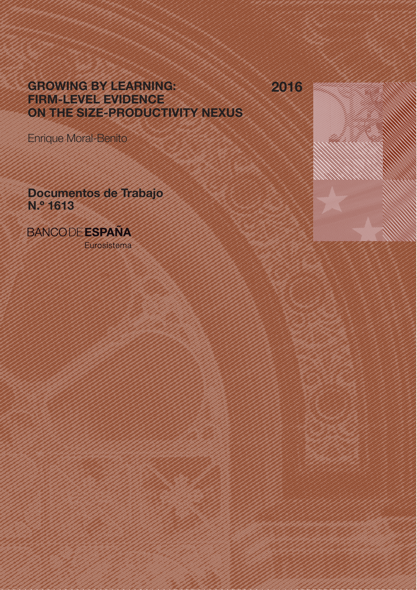GROWING BY LEARNING: FIRM-LEVEL EVIDENCE ON THE SIZE-PRODUCTIVITY NEXUS

2016

Enrique Moral-Benito

Documentos de Trabajo N.º 1613

**BANCODEESPAÑA** 

Eurosistema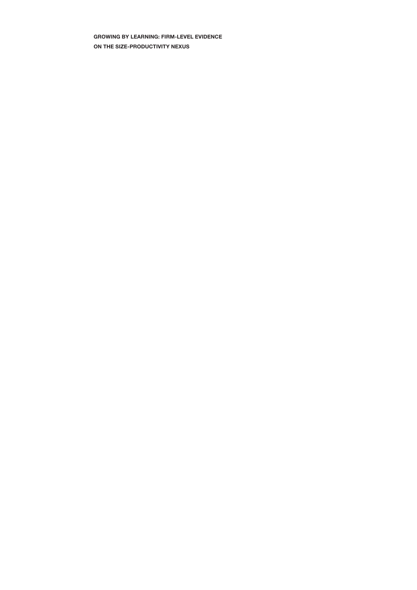GROWING BY LEARNING: FIRM-LEVEL EVIDENCE ON THE SIZE-PRODUCTIVITY NEXUS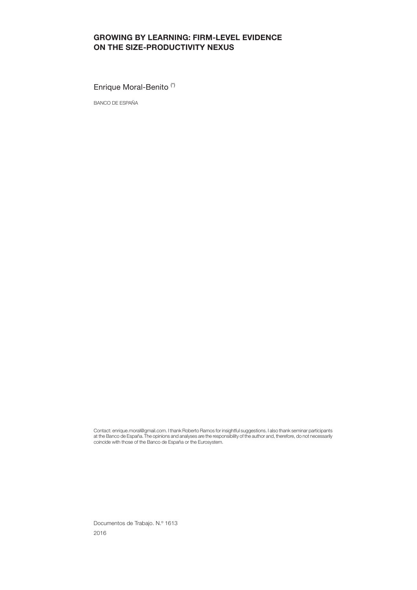### GROWING BY LEARNING: FIRM-LEVEL EVIDENCE ON THE SIZE-PRODUCTIVITY NEXUS

Enrique Moral-Benito (\*)

BANCO DE ESPAÑA

Contact: enrique.moral@gmail.com. I thank Roberto Ramos for insightful suggestions. I also thank seminar participants at the Banco de España.The opinions and analyses are the responsibility of the author and, therefore, do not necessarily coincide with those of the Banco de España or the Eurosystem.

Documentos de Trabajo. N.º 1613 2016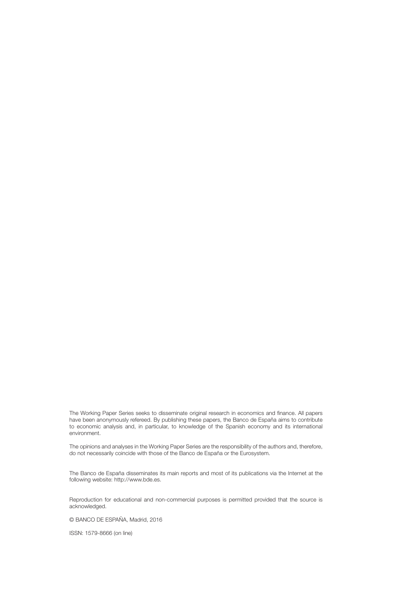The Working Paper Series seeks to disseminate original research in economics and finance. All papers have been anonymously refereed. By publishing these papers, the Banco de España aims to contribute to economic analysis and, in particular, to knowledge of the Spanish economy and its international environment.

The opinions and analyses in the Working Paper Series are the responsibility of the authors and, therefore, do not necessarily coincide with those of the Banco de España or the Eurosystem.

The Banco de España disseminates its main reports and most of its publications via the Internet at the following website: http://www.bde.es.

Reproduction for educational and non-commercial purposes is permitted provided that the source is acknowledged.

© BANCO DE ESPAÑA, Madrid, 2016

ISSN: 1579-8666 (on line)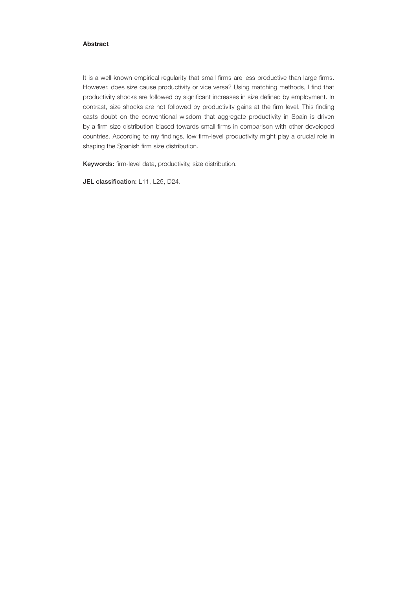#### Abstract

It is a well-known empirical regularity that small firms are less productive than large firms. However, does size cause productivity or vice versa? Using matching methods, I find that productivity shocks are followed by significant increases in size defined by employment. In contrast, size shocks are not followed by productivity gains at the firm level. This finding casts doubt on the conventional wisdom that aggregate productivity in Spain is driven by a firm size distribution biased towards small firms in comparison with other developed countries. According to my findings, low firm-level productivity might play a crucial role in shaping the Spanish firm size distribution.

Keywords: firm-level data, productivity, size distribution.

JEL classification: L11, L25, D24.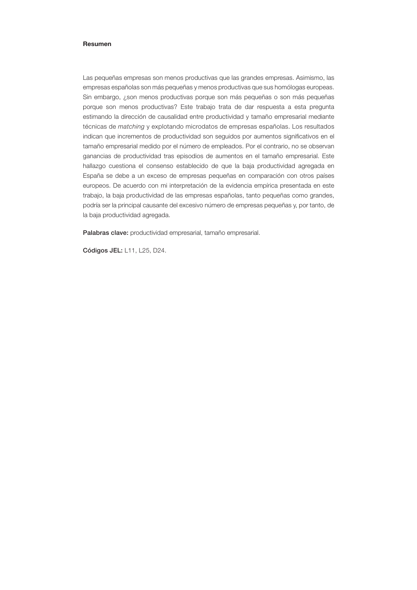#### Resumen

Las pequeñas empresas son menos productivas que las grandes empresas. Asimismo, las empresas españolas son más pequeñas y menos productivas que sus homólogas europeas. Sin embargo, ¿son menos productivas porque son más pequeñas o son más pequeñas porque son menos productivas? Este trabajo trata de dar respuesta a esta pregunta estimando la dirección de causalidad entre productividad y tamaño empresarial mediante técnicas de *matching* y explotando microdatos de empresas españolas. Los resultados indican que incrementos de productividad son seguidos por aumentos significativos en el tamaño empresarial medido por el número de empleados. Por el contrario, no se observan ganancias de productividad tras episodios de aumentos en el tamaño empresarial. Este hallazgo cuestiona el consenso establecido de que la baja productividad agregada en España se debe a un exceso de empresas pequeñas en comparación con otros países europeos. De acuerdo con mi interpretación de la evidencia empírica presentada en este trabajo, la baja productividad de las empresas españolas, tanto pequeñas como grandes, podría ser la principal causante del excesivo número de empresas pequeñas y, por tanto, de la baja productividad agregada.

Palabras clave: productividad empresarial, tamaño empresarial.

Códigos JEL: L11, L25, D24.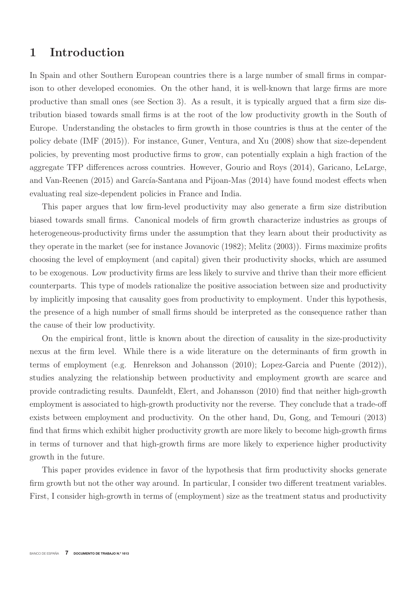# **1 Introduction**

In Spain and other Southern European countries there is a large number of small firms in comparison to other developed economies. On the other hand, it is well-known that large firms are more productive than small ones (see Section 3). As a result, it is typically argued that a firm size distribution biased towards small firms is at the root of the low productivity growth in the South of Europe. Understanding the obstacles to firm growth in those countries is thus at the center of the policy debate (IMF (2015)). For instance, Guner, Ventura, and Xu (2008) show that size-dependent policies, by preventing most productive firms to grow, can potentially explain a high fraction of the aggregate TFP differences across countries. However, Gourio and Roys (2014), Garicano, LeLarge, and Van-Reenen  $(2015)$  and García-Santana and Pijoan-Mas  $(2014)$  have found modest effects when evaluating real size-dependent policies in France and India.

This paper argues that low firm-level productivity may also generate a firm size distribution biased towards small firms. Canonical models of firm growth characterize industries as groups of heterogeneous-productivity firms under the assumption that they learn about their productivity as they operate in the market (see for instance Jovanovic (1982); Melitz (2003)). Firms maximize profits choosing the level of employment (and capital) given their productivity shocks, which are assumed to be exogenous. Low productivity firms are less likely to survive and thrive than their more efficient counterparts. This type of models rationalize the positive association between size and productivity by implicitly imposing that causality goes from productivity to employment. Under this hypothesis, the presence of a high number of small firms should be interpreted as the consequence rather than the cause of their low productivity.

On the empirical front, little is known about the direction of causality in the size-productivity nexus at the firm level. While there is a wide literature on the determinants of firm growth in terms of employment (e.g. Henrekson and Johansson (2010); Lopez-Garcia and Puente (2012)), studies analyzing the relationship between productivity and employment growth are scarce and provide contradicting results. Daunfeldt, Elert, and Johansson (2010) find that neither high-growth employment is associated to high-growth productivity nor the reverse. They conclude that a trade-off exists between employment and productivity. On the other hand, Du, Gong, and Temouri (2013) find that firms which exhibit higher productivity growth are more likely to become high-growth firms in terms of turnover and that high-growth firms are more likely to experience higher productivity growth in the future.

This paper provides evidence in favor of the hypothesis that firm productivity shocks generate firm growth but not the other way around. In particular, I consider two different treatment variables. First, I consider high-growth in terms of (employment) size as the treatment status and productivity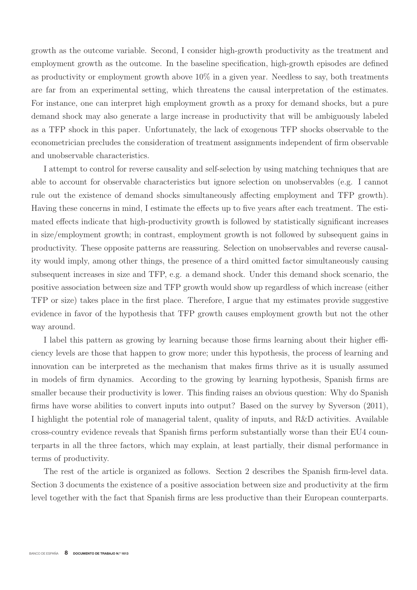growth as the outcome variable. Second, I consider high-growth productivity as the treatment and employment growth as the outcome. In the baseline specification, high-growth episodes are defined as productivity or employment growth above  $10\%$  in a given year. Needless to say, both treatments are far from an experimental setting, which threatens the causal interpretation of the estimates. For instance, one can interpret high employment growth as a proxy for demand shocks, but a pure demand shock may also generate a large increase in productivity that will be ambiguously labeled as a TFP shock in this paper. Unfortunately, the lack of exogenous TFP shocks observable to the econometrician precludes the consideration of treatment assignments independent of firm observable and unobservable characteristics.

I attempt to control for reverse causality and self-selection by using matching techniques that are able to account for observable characteristics but ignore selection on unobservables (e.g. I cannot rule out the existence of demand shocks simultaneously affecting employment and TFP growth). Having these concerns in mind, I estimate the effects up to five years after each treatment. The estimated effects indicate that high-productivity growth is followed by statistically significant increases in size/employment growth; in contrast, employment growth is not followed by subsequent gains in productivity. These opposite patterns are reassuring. Selection on unobservables and reverse causality would imply, among other things, the presence of a third omitted factor simultaneously causing subsequent increases in size and TFP, e.g. a demand shock. Under this demand shock scenario, the positive association between size and TFP growth would show up regardless of which increase (either TFP or size) takes place in the first place. Therefore, I argue that my estimates provide suggestive evidence in favor of the hypothesis that TFP growth causes employment growth but not the other way around.

I label this pattern as growing by learning because those firms learning about their higher efficiency levels are those that happen to grow more; under this hypothesis, the process of learning and innovation can be interpreted as the mechanism that makes firms thrive as it is usually assumed in models of firm dynamics. According to the growing by learning hypothesis, Spanish firms are smaller because their productivity is lower. This finding raises an obvious question: Why do Spanish firms have worse abilities to convert inputs into output? Based on the survey by Syverson (2011), I highlight the potential role of managerial talent, quality of inputs, and R&D activities. Available cross-country evidence reveals that Spanish firms perform substantially worse than their EU4 counterparts in all the three factors, which may explain, at least partially, their dismal performance in terms of productivity.

The rest of the article is organized as follows. Section 2 describes the Spanish firm-level data. Section 3 documents the existence of a positive association between size and productivity at the firm level together with the fact that Spanish firms are less productive than their European counterparts.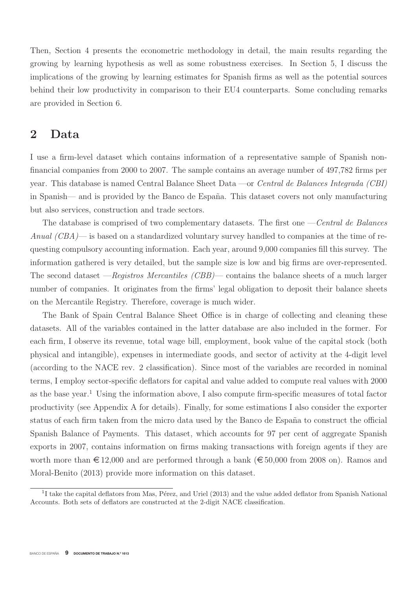Then, Section 4 presents the econometric methodology in detail, the main results regarding the growing by learning hypothesis as well as some robustness exercises. In Section 5, I discuss the implications of the growing by learning estimates for Spanish firms as well as the potential sources behind their low productivity in comparison to their EU4 counterparts. Some concluding remarks are provided in Section 6.

## **2 Data**

I use a firm-level dataset which contains information of a representative sample of Spanish nonfinancial companies from 2000 to 2007. The sample contains an average number of 497,782 firms per year. This database is named Central Balance Sheet Data —or Central de Balances Integrada (CBI) in Spanish— and is provided by the Banco de España. This dataset covers not only manufacturing but also services, construction and trade sectors.

The database is comprised of two complementary datasets. The first one — Central de Balances Anual (CBA)— is based on a standardized voluntary survey handled to companies at the time of requesting compulsory accounting information. Each year, around 9,000 companies fill this survey. The information gathered is very detailed, but the sample size is low and big firms are over-represented. The second dataset —*Registros Mercantiles (CBB)*— contains the balance sheets of a much larger number of companies. It originates from the firms' legal obligation to deposit their balance sheets on the Mercantile Registry. Therefore, coverage is much wider.

The Bank of Spain Central Balance Sheet Office is in charge of collecting and cleaning these datasets. All of the variables contained in the latter database are also included in the former. For each firm, I observe its revenue, total wage bill, employment, book value of the capital stock (both physical and intangible), expenses in intermediate goods, and sector of activity at the 4-digit level (according to the NACE rev. 2 classification). Since most of the variables are recorded in nominal terms, I employ sector-specific deflators for capital and value added to compute real values with 2000 as the base year.<sup>1</sup> Using the information above, I also compute firm-specific measures of total factor productivity (see Appendix A for details). Finally, for some estimations I also consider the exporter status of each firm taken from the micro data used by the Banco de España to construct the official Spanish Balance of Payments. This dataset, which accounts for 97 per cent of aggregate Spanish exports in 2007, contains information on firms making transactions with foreign agents if they are worth more than  $\epsilon$  12,000 and are performed through a bank ( $\epsilon$  50,000 from 2008 on). Ramos and Moral-Benito (2013) provide more information on this dataset.

 $1$ I take the capital deflators from Mas, Pérez, and Uriel (2013) and the value added deflator from Spanish National Accounts. Both sets of deflators are constructed at the 2-digit NACE classification.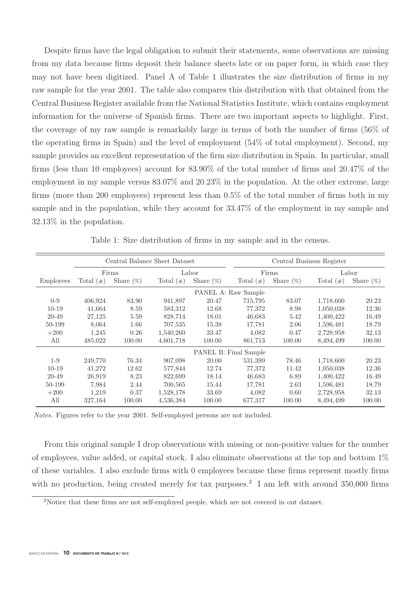Despite firms have the legal obligation to submit their statements, some observations are missing from my data because firms deposit their balance sheets late or on paper form, in which case they may not have been digitized. Panel A of Table 1 illustrates the size distribution of firms in my raw sample for the year 2001. The table also compares this distribution with that obtained from the Central Business Register available from the National Statistics Institute, which contains employment information for the universe of Spanish firms. There are two important aspects to highlight. First, the coverage of my raw sample is remarkably large in terms of both the number of firms (56% of the operating firms in Spain) and the level of employment (54% of total employment). Second, my sample provides an excellent representation of the firm size distribution in Spain. In particular, small firms (less than 10 employees) account for 83.90% of the total number of firms and 20.47% of the employment in my sample versus 83.07% and 20.23% in the population. At the other extreme, large firms (more than 200 employees) represent less than 0.5% of the total number of firms both in my sample and in the population, while they account for 33.47% of the employment in my sample and 32.13% in the population.

|                  | Central Balance Sheet Dataset |              |              |              |                       | Central Business Register |              |              |  |
|------------------|-------------------------------|--------------|--------------|--------------|-----------------------|---------------------------|--------------|--------------|--|
|                  | Firms                         |              | Labor        |              |                       | Firms                     |              | Labor        |  |
| <b>Employees</b> | Total $(\#)$                  | Share $(\%)$ | Total $(\#)$ | Share $(\%)$ | Total $(\#)$          | Share $(\%)$              | Total $(\#)$ | Share $(\%)$ |  |
|                  | PANEL A: Raw Sample           |              |              |              |                       |                           |              |              |  |
| $0 - 9$          | 406,924                       | 83.90        | 941,897      | 20.47        | 715,795               | 83.07                     | 1,718,600    | 20.23        |  |
| $10-19$          | 41,664                        | 8.59         | 583,312      | 12.68        | 77,372                | 8.98                      | 1,050,038    | 12.36        |  |
| 20-49            | 27,125                        | 5.59         | 828,714      | 18.01        | 46,683                | 5.42                      | 1,400,422    | 16.49        |  |
| 50-199           | 8,064                         | 1.66         | 707,535      | 15.38        | 17,781                | 2.06                      | 1,596,481    | 18.79        |  |
| $+200$           | 1,245                         | 0.26         | 1,540,260    | 33.47        | 4,082                 | 0.47                      | 2,728,958    | 32.13        |  |
| All              | 485,022                       | 100.00       | 4,601,718    | 100.00       | 861,713               | 100.00                    | 8,494,499    | 100.00       |  |
|                  |                               |              |              |              | PANEL B: Final Sample |                           |              |              |  |
| $1-9$            | 249,770                       | 76.34        | 907,098      | 20.00        | 531,399               | 78.46                     | 1,718,600    | 20.23        |  |
| $10-19$          | 41,272                        | 12.62        | 577,844      | 12.74        | 77,372                | 11.42                     | 1,050,038    | 12.36        |  |
| 20-49            | 26,919                        | 8.23         | 822,699      | 18.14        | 46,683                | 6.89                      | 1,400,422    | 16.49        |  |
| 50-199           | 7.984                         | 2.44         | 700,565      | 15.44        | 17,781                | 2.63                      | 1,596,481    | 18.79        |  |
| $+200$           | 1,219                         | 0.37         | 1,528,178    | 33.69        | 4,082                 | 0.60                      | 2,728,958    | 32.13        |  |
| All              | 327,164                       | 100.00       | 4,536,384    | 100.00       | 677,317               | 100.00                    | 8,494,499    | 100.00       |  |

Table 1: Size distribution of firms in my sample and in the census.

Notes. Figures refer to the year 2001. Self-employed persons are not included.

From this original sample I drop observations with missing or non-positive values for the number of employees, value added, or capital stock. I also eliminate observations at the top and bottom 1% of these variables. I also exclude firms with 0 employees because these firms represent mostly firms with no production, being created merely for tax purposes.<sup>2</sup> I am left with around  $350,000$  firms

<sup>2</sup>Notice that these firms are not self-employed people, which are not covered in out dataset.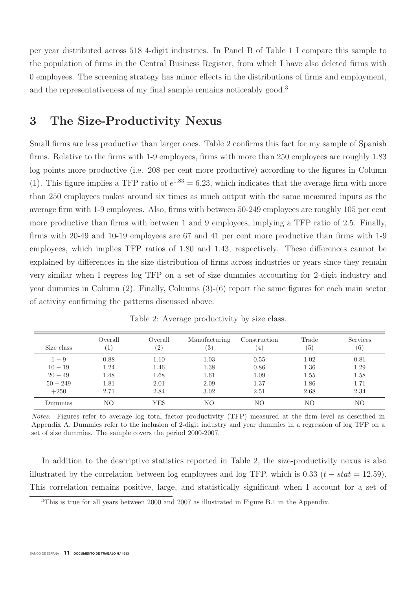per year distributed across 518 4-digit industries. In Panel B of Table 1 I compare this sample to the population of firms in the Central Business Register, from which I have also deleted firms with 0 employees. The screening strategy has minor effects in the distributions of firms and employment, and the representativeness of my final sample remains noticeably good.<sup>3</sup>

# **3 The Size-Productivity Nexus**

Small firms are less productive than larger ones. Table 2 confirms this fact for my sample of Spanish firms. Relative to the firms with 1-9 employees, firms with more than 250 employees are roughly 1.83 log points more productive (i.e. 208 per cent more productive) according to the figures in Column (1). This figure implies a TFP ratio of  $e^{1.83} = 6.23$ , which indicates that the average firm with more than 250 employees makes around six times as much output with the same measured inputs as the average firm with 1-9 employees. Also, firms with between 50-249 employees are roughly 105 per cent more productive than firms with between 1 and 9 employees, implying a TFP ratio of 2.5. Finally, firms with 20-49 and 10-19 employees are 67 and 41 per cent more productive than firms with 1-9 employees, which implies TFP ratios of 1.80 and 1.43, respectively. These differences cannot be explained by differences in the size distribution of firms across industries or years since they remain very similar when I regress log TFP on a set of size dummies accounting for 2-digit industry and year dummies in Column (2). Finally, Columns (3)-(6) report the same figures for each main sector of activity confirming the patterns discussed above.

| Size class | Overall<br>Τ. | Overall<br>$\left( 2\right)$ | Manufacturing<br>(3) | Construction | Trade<br>(5) | <b>Services</b><br>(6) |
|------------|---------------|------------------------------|----------------------|--------------|--------------|------------------------|
| $1 - 9$    | 0.88          | 1.10                         | 1.03                 | 0.55         | 1.02         | 0.81                   |
| $10 - 19$  | 1.24          | 1.46                         | 1.38                 | 0.86         | 1.36         | 1.29                   |
| $20 - 49$  | 1.48          | 1.68                         | 1.61                 | 1.09         | 1.55         | 1.58                   |
| $50 - 249$ | 1.81          | 2.01                         | 2.09                 | 1.37         | 1.86         | 1.71                   |
| $+250$     | 2.71          | 2.84                         | 3.02                 | 2.51         | 2.68         | 2.34                   |
| Dummies    | NΟ            | YES                          | NΟ                   | NΟ           | NΟ           | NΟ                     |

Table 2: Average productivity by size class.

Notes. Figures refer to average log total factor productivity (TFP) measured at the firm level as described in Appendix A. Dummies refer to the inclusion of 2-digit industry and year dummies in a regression of log TFP on a set of size dummies. The sample covers the period 2000-2007.

In addition to the descriptive statistics reported in Table 2, the size-productivity nexus is also illustrated by the correlation between log employees and log TFP, which is 0.33  $(t - stat = 12.59)$ . This correlation remains positive, large, and statistically significant when I account for a set of

<sup>3</sup>This is true for all years between 2000 and 2007 as illustrated in Figure B.1 in the Appendix.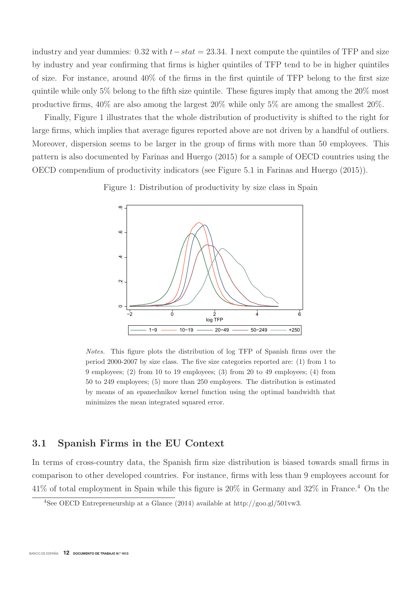industry and year dummies: 0.32 with  $t - stat = 23.34$ . I next compute the quintiles of TFP and size by industry and year confirming that firms is higher quintiles of TFP tend to be in higher quintiles of size. For instance, around 40% of the firms in the first quintile of TFP belong to the first size quintile while only 5% belong to the fifth size quintile. These figures imply that among the 20% most productive firms, 40% are also among the largest 20% while only 5% are among the smallest 20%.

Finally, Figure 1 illustrates that the whole distribution of productivity is shifted to the right for large firms, which implies that average figures reported above are not driven by a handful of outliers. Moreover, dispersion seems to be larger in the group of firms with more than 50 employees. This pattern is also documented by Farinas and Huergo (2015) for a sample of OECD countries using the OECD compendium of productivity indicators (see Figure 5.1 in Farinas and Huergo (2015)).





Notes. This figure plots the distribution of log TFP of Spanish firms over the period 2000-2007 by size class. The five size categories reported are: (1) from 1 to 9 employees; (2) from 10 to 19 employees; (3) from 20 to 49 employees; (4) from 50 to 249 employees; (5) more than 250 employees. The distribution is estimated by means of an epanechnikov kernel function using the optimal bandwidth that minimizes the mean integrated squared error.

### **3.1 Spanish Firms in the EU Context**

In terms of cross-country data, the Spanish firm size distribution is biased towards small firms in comparison to other developed countries. For instance, firms with less than 9 employees account for  $41\%$  of total employment in Spain while this figure is  $20\%$  in Germany and  $32\%$  in France.<sup>4</sup> On the

<sup>&</sup>lt;sup>4</sup>See OECD Entrepreneurship at a Glance (2014) available at http://goo.gl/501vw3.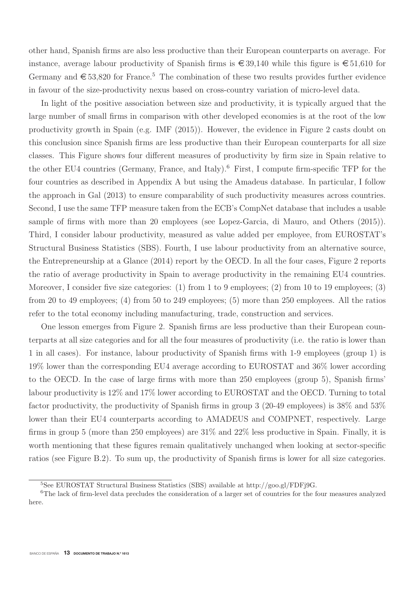other hand, Spanish firms are also less productive than their European counterparts on average. For instance, average labour productivity of Spanish firms is  $\epsilon$  39,140 while this figure is  $\epsilon$  51,610 for Germany and  $\epsilon$  53,820 for France.<sup>5</sup> The combination of these two results provides further evidence in favour of the size-productivity nexus based on cross-country variation of micro-level data.

In light of the positive association between size and productivity, it is typically argued that the large number of small firms in comparison with other developed economies is at the root of the low productivity growth in Spain (e.g. IMF (2015)). However, the evidence in Figure 2 casts doubt on this conclusion since Spanish firms are less productive than their European counterparts for all size classes. This Figure shows four different measures of productivity by firm size in Spain relative to the other EU4 countries (Germany, France, and Italy).<sup>6</sup> First, I compute firm-specific TFP for the four countries as described in Appendix A but using the Amadeus database. In particular, I follow the approach in Gal (2013) to ensure comparability of such productivity measures across countries. Second, I use the same TFP measure taken from the ECB's CompNet database that includes a usable sample of firms with more than 20 employees (see Lopez-Garcia, di Mauro, and Others (2015)). Third, I consider labour productivity, measured as value added per employee, from EUROSTAT's Structural Business Statistics (SBS). Fourth, I use labour productivity from an alternative source, the Entrepreneurship at a Glance (2014) report by the OECD. In all the four cases, Figure 2 reports the ratio of average productivity in Spain to average productivity in the remaining EU4 countries. Moreover, I consider five size categories: (1) from 1 to 9 employees; (2) from 10 to 19 employees; (3) from 20 to 49 employees; (4) from 50 to 249 employees; (5) more than 250 employees. All the ratios refer to the total economy including manufacturing, trade, construction and services.

One lesson emerges from Figure 2. Spanish firms are less productive than their European counterparts at all size categories and for all the four measures of productivity (i.e. the ratio is lower than 1 in all cases). For instance, labour productivity of Spanish firms with 1-9 employees (group 1) is 19% lower than the corresponding EU4 average according to EUROSTAT and 36% lower according to the OECD. In the case of large firms with more than 250 employees (group 5), Spanish firms' labour productivity is 12% and 17% lower according to EUROSTAT and the OECD. Turning to total factor productivity, the productivity of Spanish firms in group 3 (20-49 employees) is 38% and 53% lower than their EU4 counterparts according to AMADEUS and COMPNET, respectively. Large firms in group 5 (more than 250 employees) are 31% and 22% less productive in Spain. Finally, it is worth mentioning that these figures remain qualitatively unchanged when looking at sector-specific ratios (see Figure B.2). To sum up, the productivity of Spanish firms is lower for all size categories.

<sup>5</sup>See EUROSTAT Structural Business Statistics (SBS) available at http://goo.gl/FDFj9G.

<sup>&</sup>lt;sup>6</sup>The lack of firm-level data precludes the consideration of a larger set of countries for the four measures analyzed here.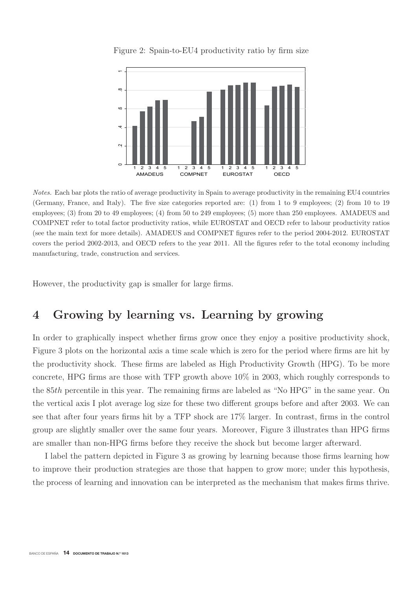

Figure 2: Spain-to-EU4 productivity ratio by firm size

Notes. Each bar plots the ratio of average productivity in Spain to average productivity in the remaining EU4 countries (Germany, France, and Italy). The five size categories reported are: (1) from 1 to 9 employees; (2) from 10 to 19 employees; (3) from 20 to 49 employees; (4) from 50 to 249 employees; (5) more than 250 employees. AMADEUS and COMPNET refer to total factor productivity ratios, while EUROSTAT and OECD refer to labour productivity ratios (see the main text for more details). AMADEUS and COMPNET figures refer to the period 2004-2012. EUROSTAT covers the period 2002-2013, and OECD refers to the year 2011. All the figures refer to the total economy including manufacturing, trade, construction and services.

However, the productivity gap is smaller for large firms.

# **4 Growing by learning vs. Learning by growing**

In order to graphically inspect whether firms grow once they enjoy a positive productivity shock, Figure 3 plots on the horizontal axis a time scale which is zero for the period where firms are hit by the productivity shock. These firms are labeled as High Productivity Growth (HPG). To be more concrete, HPG firms are those with TFP growth above 10% in 2003, which roughly corresponds to the 85th percentile in this year. The remaining firms are labeled as "No HPG" in the same year. On the vertical axis I plot average log size for these two different groups before and after 2003. We can see that after four years firms hit by a TFP shock are 17% larger. In contrast, firms in the control group are slightly smaller over the same four years. Moreover, Figure 3 illustrates than HPG firms are smaller than non-HPG firms before they receive the shock but become larger afterward.

I label the pattern depicted in Figure 3 as growing by learning because those firms learning how to improve their production strategies are those that happen to grow more; under this hypothesis, the process of learning and innovation can be interpreted as the mechanism that makes firms thrive.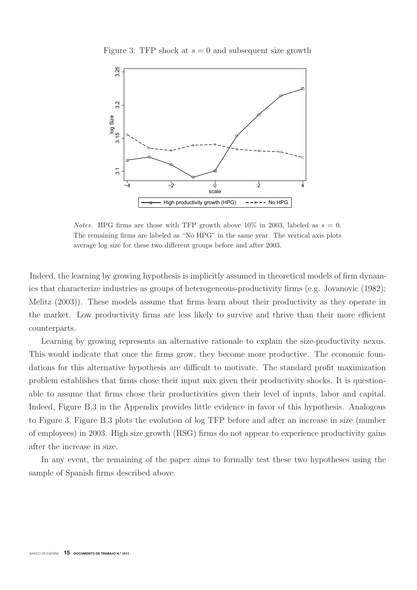

Figure 3: TFP shock at  $s = 0$  and subsequent size growth

*Notes.* HPG firms are those with TFP growth above 10% in 2003, labeled as  $s = 0$ . The remaining firms are labeled as "No HPG" in the same year. The vertical axis plots average log size for these two different groups before and after 2003.

Indeed, the learning by growing hypothesis is implicitly assumed in theoretical models of firm dynamics that characterize industries as groups of heterogeneous-productivity firms (e.g. Jovanovic (1982); Melitz (2003)). These models assume that firms learn about their productivity as they operate in the market. Low productivity firms are less likely to survive and thrive than their more efficient counterparts.

Learning by growing represents an alternative rationale to explain the size-productivity nexus. This would indicate that once the firms grow, they become more productive. The economic foundations for this alternative hypothesis are difficult to motivate. The standard profit maximization problem establishes that firms chose their input mix given their productivity shocks. It is questionable to assume that firms chose their productivities given their level of inputs, labor and capital. Indeed, Figure B.3 in the Appendix provides little evidence in favor of this hypothesis. Analogous to Figure 3, Figure B.3 plots the evolution of log TFP before and after an increase in size (number of employees) in 2003. High size growth (HSG) firms do not appear to experience productivity gains after the increase in size.

In any event, the remaining of the paper aims to formally test these two hypotheses using the sample of Spanish firms described above.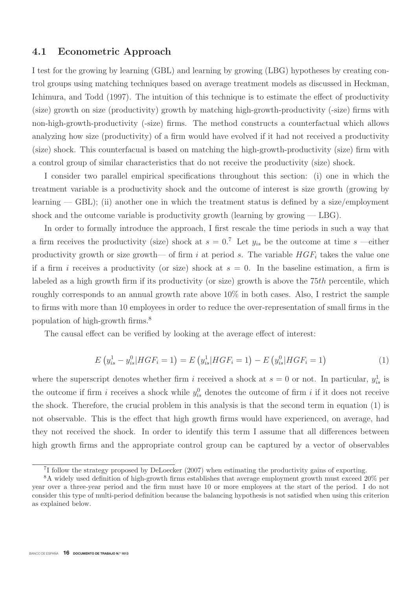### **4.1 Econometric Approach**

I test for the growing by learning (GBL) and learning by growing (LBG) hypotheses by creating control groups using matching techniques based on average treatment models as discussed in Heckman, Ichimura, and Todd (1997). The intuition of this technique is to estimate the effect of productivity (size) growth on size (productivity) growth by matching high-growth-productivity (-size) firms with non-high-growth-productivity (-size) firms. The method constructs a counterfactual which allows analyzing how size (productivity) of a firm would have evolved if it had not received a productivity (size) shock. This counterfacual is based on matching the high-growth-productivity (size) firm with a control group of similar characteristics that do not receive the productivity (size) shock.

I consider two parallel empirical specifications throughout this section: (i) one in which the treatment variable is a productivity shock and the outcome of interest is size growth (growing by learning  $-$  GBL); (ii) another one in which the treatment status is defined by a size/employment shock and the outcome variable is productivity growth (learning by growing  $-$  LBG).

In order to formally introduce the approach, I first rescale the time periods in such a way that a firm receives the productivity (size) shock at  $s = 0.7$  Let  $y_{is}$  be the outcome at time s —either productivity growth or size growth— of firm i at period s. The variable  $HGF_i$  takes the value one if a firm i receives a productivity (or size) shock at  $s = 0$ . In the baseline estimation, a firm is labeled as a high growth firm if its productivity (or size) growth is above the 75th percentile, which roughly corresponds to an annual growth rate above 10% in both cases. Also, I restrict the sample to firms with more than 10 employees in order to reduce the over-representation of small firms in the population of high-growth firms.<sup>8</sup>

The causal effect can be verified by looking at the average effect of interest:

$$
E(y_{is}^1 - y_{is}^0) HGF_i = 1) = E(y_{is}^1) HGF_i = 1) - E(y_{is}^0) HGF_i = 1)
$$
\n(1)

where the superscript denotes whether firm i received a shock at  $s = 0$  or not. In particular,  $y_{is}^1$  is the outcome if firm i receives a shock while  $y_{is}^0$  denotes the outcome of firm i if it does not receive the shock. Therefore, the crucial problem in this analysis is that the second term in equation (1) is not observable. This is the effect that high growth firms would have experienced, on average, had they not received the shock. In order to identify this term I assume that all differences between high growth firms and the appropriate control group can be captured by a vector of observables

<sup>7</sup>I follow the strategy proposed by DeLoecker (2007) when estimating the productivity gains of exporting.

<sup>8</sup>A widely used definition of high-growth firms establishes that average employment growth must exceed 20% per year over a three-year period and the firm must have 10 or more employees at the start of the period. I do not consider this type of multi-period definition because the balancing hypothesis is not satisfied when using this criterion as explained below.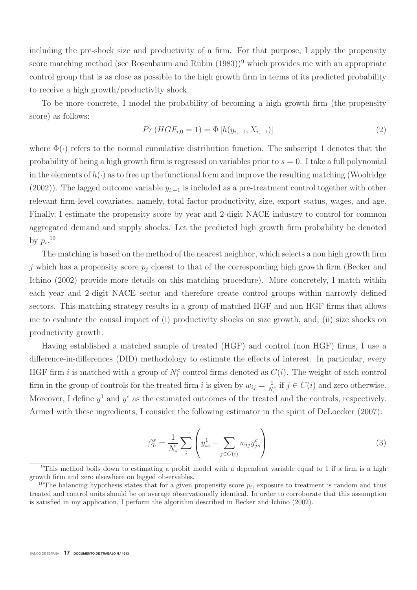including the pre-shock size and productivity of a firm. For that purpose, I apply the propensity score matching method (see Rosenbaum and Rubin  $(1983)^9$ ) which provides me with an appropriate control group that is as close as possible to the high growth firm in terms of its predicted probability to receive a high growth/productivity shock.

To be more concrete, I model the probability of becoming a high growth firm (the propensity score) as follows:

$$
Pr(HGF_{i,0} = 1) = \Phi[h(y_{i,-1}, X_{i,-1})]
$$
\n(2)

where  $\Phi(\cdot)$  refers to the normal cumulative distribution function. The subscript 1 denotes that the probability of being a high growth firm is regressed on variables prior to  $s = 0$ . I take a full polynomial in the elements of  $h(\cdot)$  as to free up the functional form and improve the resulting matching (Woolridge (2002)). The lagged outcome variable  $y_{i,-1}$  is included as a pre-treatment control together with other relevant firm-level covariates, namely, total factor productivity, size, export status, wages, and age. Finally, I estimate the propensity score by year and 2-digit NACE industry to control for common aggregated demand and supply shocks. Let the predicted high growth firm probability be denoted by  $p_i.^{10}$ 

The matching is based on the method of the nearest neighbor, which selects a non high growth firm j which has a propensity score  $p_i$  closest to that of the corresponding high growth firm (Becker and Ichino (2002) provide more details on this matching procedure). More concretely, I match within each year and 2-digit NACE sector and therefore create control groups within narrowly defined sectors. This matching strategy results in a group of matched HGF and non HGF firms that allows me to evaluate the causal impact of (i) productivity shocks on size growth, and, (ii) size shocks on productivity growth.

Having established a matched sample of treated (HGF) and control (non HGF) firms, I use a difference-in-differences (DID) methodology to estimate the effects of interest. In particular, every HGF firm *i* is matched with a group of  $N_i^c$  control firms denoted as  $C(i)$ . The weight of each control firm in the group of controls for the treated firm i is given by  $w_{ij} = \frac{1}{N_i^c}$  if  $j \in C(i)$  and zero otherwise. Moreover, I define  $y^1$  and  $y^c$  as the estimated outcomes of the treated and the controls, respectively. Armed with these ingredients, I consider the following estimator in the spirit of DeLoecker (2007):

$$
\beta_h^s = \frac{1}{N_s} \sum_i \left( y_{is}^1 - \sum_{j \in C(i)} w_{ij} y_{js}^c \right) \tag{3}
$$

<sup>9</sup>This method boils down to estimating a probit model with a dependent variable equal to 1 if a firm is a high growth firm and zero elsewhere on lagged observables.

<sup>&</sup>lt;sup>10</sup>The balancing hypothesis states that for a given propensity score  $p_i$ , exposure to treatment is random and thus treated and control units should be on average observationally identical. In order to corroborate that this assumption is satisfied in my application, I perform the algorithm described in Becker and Ichino (2002).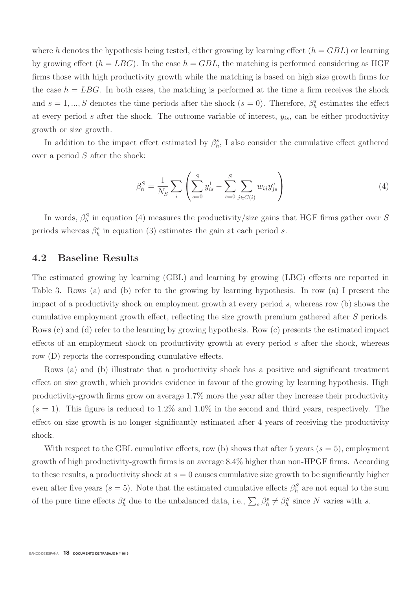where h denotes the hypothesis being tested, either growing by learning effect  $(h = GBL)$  or learning by growing effect  $(h = LBG)$ . In the case  $h = GBL$ , the matching is performed considering as HGF firms those with high productivity growth while the matching is based on high size growth firms for the case  $h = LBG$ . In both cases, the matching is performed at the time a firm receives the shock and  $s = 1, ..., S$  denotes the time periods after the shock  $(s = 0)$ . Therefore,  $\beta_h^s$  estimates the effect at every period s after the shock. The outcome variable of interest,  $y_{is}$ , can be either productivity growth or size growth.

In addition to the impact effect estimated by  $\beta_h^s$ , I also consider the cumulative effect gathered over a period S after the shock:

$$
\beta_h^S = \frac{1}{N_S} \sum_i \left( \sum_{s=0}^S y_{is}^1 - \sum_{s=0}^S \sum_{j \in C(i)} w_{ij} y_{js}^c \right) \tag{4}
$$

In words,  $\beta_h^S$  in equation (4) measures the productivity/size gains that HGF firms gather over S periods whereas  $\beta_h^s$  in equation (3) estimates the gain at each period s.

### **4.2 Baseline Results**

The estimated growing by learning (GBL) and learning by growing (LBG) effects are reported in Table 3. Rows (a) and (b) refer to the growing by learning hypothesis. In row (a) I present the impact of a productivity shock on employment growth at every period s, whereas row (b) shows the cumulative employment growth effect, reflecting the size growth premium gathered after S periods. Rows (c) and (d) refer to the learning by growing hypothesis. Row (c) presents the estimated impact effects of an employment shock on productivity growth at every period s after the shock, whereas row (D) reports the corresponding cumulative effects.

Rows (a) and (b) illustrate that a productivity shock has a positive and significant treatment effect on size growth, which provides evidence in favour of the growing by learning hypothesis. High productivity-growth firms grow on average 1.7% more the year after they increase their productivity  $(s = 1)$ . This figure is reduced to 1.2% and 1.0% in the second and third years, respectively. The effect on size growth is no longer significantly estimated after 4 years of receiving the productivity shock.

With respect to the GBL cumulative effects, row (b) shows that after 5 years  $(s = 5)$ , employment growth of high productivity-growth firms is on average 8.4% higher than non-HPGF firms. According to these results, a productivity shock at  $s = 0$  causes cumulative size growth to be significantly higher even after five years ( $s = 5$ ). Note that the estimated cumulative effects  $\beta_h^S$  are not equal to the sum of the pure time effects  $\beta_h^s$  due to the unbalanced data, i.e.,  $\sum_s \beta_h^s \neq \beta_h^S$  since N varies with s.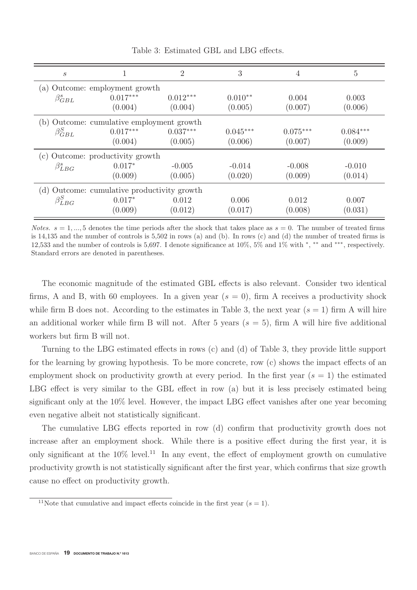| $\boldsymbol{s}$                            |                                           | $\overline{2}$ | 3          | 4          | $\overline{5}$ |  |  |  |
|---------------------------------------------|-------------------------------------------|----------------|------------|------------|----------------|--|--|--|
| (a) Outcome: employment growth              |                                           |                |            |            |                |  |  |  |
| $\beta_{GBL}^s$                             | $0.017***$                                | $0.012***$     | $0.010**$  | 0.004      | 0.003          |  |  |  |
|                                             | (0.004)                                   | (0.004)        | (0.005)    | (0.007)    | (0.006)        |  |  |  |
|                                             | (b) Outcome: cumulative employment growth |                |            |            |                |  |  |  |
| $\beta_{GBL}^{S}$                           | $0.017***$                                | $0.037***$     | $0.045***$ | $0.075***$ | $0.084***$     |  |  |  |
|                                             | (0.004)                                   | (0.005)        | (0.006)    | (0.007)    | (0.009)        |  |  |  |
| (c) Outcome: productivity growth            |                                           |                |            |            |                |  |  |  |
| $\beta_{LBG}^s$                             | $0.017*$                                  | $-0.005$       | $-0.014$   | $-0.008$   | $-0.010$       |  |  |  |
|                                             | (0.009)                                   | (0.005)        | (0.020)    | (0.009)    | (0.014)        |  |  |  |
| (d) Outcome: cumulative productivity growth |                                           |                |            |            |                |  |  |  |
| $\beta_{LBG}^{S}$                           | $0.017*$                                  | 0.012          | 0.006      | 0.012      | 0.007          |  |  |  |
|                                             | (0.009)                                   | (0.012)        | (0.017)    | (0.008)    | (0.031)        |  |  |  |

Table 3: Estimated GBL and LBG effects.

Notes.  $s = 1, ..., 5$  denotes the time periods after the shock that takes place as  $s = 0$ . The number of treated firms is 14,135 and the number of controls is 5,502 in rows (a) and (b). In rows (c) and (d) the number of treated firms is 12,533 and the number of controls is 5,697. I denote significance at 10%, 5% and 1% with <sup>∗</sup>, ∗∗ and ∗∗∗, respectively. Standard errors are denoted in parentheses.

The economic magnitude of the estimated GBL effects is also relevant. Consider two identical firms, A and B, with 60 employees. In a given year  $(s = 0)$ , firm A receives a productivity shock while firm B does not. According to the estimates in Table 3, the next year  $(s = 1)$  firm A will hire an additional worker while firm B will not. After 5 years  $(s = 5)$ , firm A will hire five additional workers but firm B will not.

Turning to the LBG estimated effects in rows (c) and (d) of Table 3, they provide little support for the learning by growing hypothesis. To be more concrete, row (c) shows the impact effects of an employment shock on productivity growth at every period. In the first year  $(s = 1)$  the estimated LBG effect is very similar to the GBL effect in row (a) but it is less precisely estimated being significant only at the 10% level. However, the impact LBG effect vanishes after one year becoming even negative albeit not statistically significant.

The cumulative LBG effects reported in row (d) confirm that productivity growth does not increase after an employment shock. While there is a positive effect during the first year, it is only significant at the  $10\%$  level.<sup>11</sup> In any event, the effect of employment growth on cumulative productivity growth is not statistically significant after the first year, which confirms that size growth cause no effect on productivity growth.

<sup>&</sup>lt;sup>11</sup>Note that cumulative and impact effects coincide in the first year ( $s = 1$ ).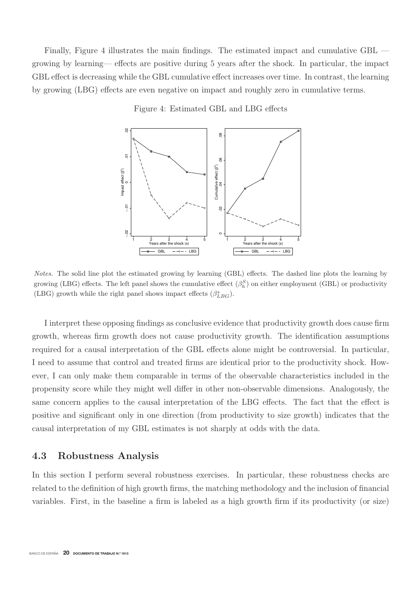Finally, Figure 4 illustrates the main findings. The estimated impact and cumulative GBL growing by learning— effects are positive during 5 years after the shock. In particular, the impact GBL effect is decreasing while the GBL cumulative effect increases over time. In contrast, the learning by growing (LBG) effects are even negative on impact and roughly zero in cumulative terms.

#### Figure 4: Estimated GBL and LBG effects



Notes. The solid line plot the estimated growing by learning (GBL) effects. The dashed line plots the learning by growing (LBG) effects. The left panel shows the cumulative effect  $(\beta_h^S)$  on either employment (GBL) or productivity (LBG) growth while the right panel shows impact effects  $(\beta_{LBG}^s)$ .

I interpret these opposing findings as conclusive evidence that productivity growth does cause firm growth, whereas firm growth does not cause productivity growth. The identification assumptions required for a causal interpretation of the GBL effects alone might be controversial. In particular, I need to assume that control and treated firms are identical prior to the productivity shock. However, I can only make them comparable in terms of the observable characteristics included in the propensity score while they might well differ in other non-observable dimensions. Analogously, the same concern applies to the causal interpretation of the LBG effects. The fact that the effect is positive and significant only in one direction (from productivity to size growth) indicates that the causal interpretation of my GBL estimates is not sharply at odds with the data.

### **4.3 Robustness Analysis**

In this section I perform several robustness exercises. In particular, these robustness checks are related to the definition of high growth firms, the matching methodology and the inclusion of financial variables. First, in the baseline a firm is labeled as a high growth firm if its productivity (or size)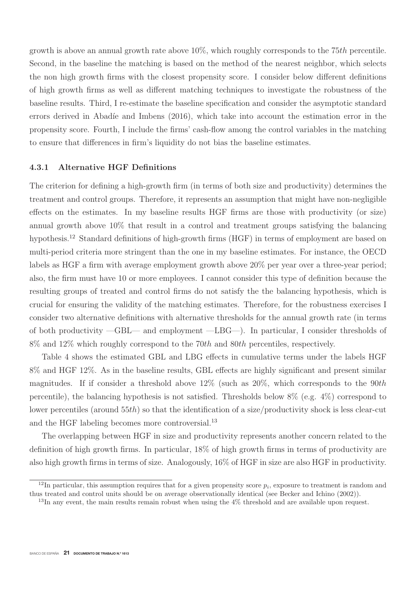growth is above an annual growth rate above 10%, which roughly corresponds to the 75th percentile. Second, in the baseline the matching is based on the method of the nearest neighbor, which selects the non high growth firms with the closest propensity score. I consider below different definitions of high growth firms as well as different matching techniques to investigate the robustness of the baseline results. Third, I re-estimate the baseline specification and consider the asymptotic standard errors derived in Abadíe and Imbens  $(2016)$ , which take into account the estimation error in the propensity score. Fourth, I include the firms' cash-flow among the control variables in the matching to ensure that differences in firm's liquidity do not bias the baseline estimates.

### **4.3.1 Alternative HGF Definitions**

The criterion for defining a high-growth firm (in terms of both size and productivity) determines the treatment and control groups. Therefore, it represents an assumption that might have non-negligible effects on the estimates. In my baseline results HGF firms are those with productivity (or size) annual growth above 10% that result in a control and treatment groups satisfying the balancing hypothesis.<sup>12</sup> Standard definitions of high-growth firms (HGF) in terms of employment are based on multi-period criteria more stringent than the one in my baseline estimates. For instance, the OECD labels as HGF a firm with average employment growth above 20% per year over a three-year period; also, the firm must have 10 or more employees. I cannot consider this type of definition because the resulting groups of treated and control firms do not satisfy the the balancing hypothesis, which is crucial for ensuring the validity of the matching estimates. Therefore, for the robustness exercises I consider two alternative definitions with alternative thresholds for the annual growth rate (in terms of both productivity —GBL— and employment —LBG—). In particular, I consider thresholds of 8% and 12% which roughly correspond to the 70th and 80th percentiles, respectively.

Table 4 shows the estimated GBL and LBG effects in cumulative terms under the labels HGF 8% and HGF 12%. As in the baseline results, GBL effects are highly significant and present similar magnitudes. If if consider a threshold above  $12\%$  (such as  $20\%$ , which corresponds to the 90th percentile), the balancing hypothesis is not satisfied. Thresholds below 8% (e.g. 4%) correspond to lower percentiles (around 55th) so that the identification of a size/productivity shock is less clear-cut and the HGF labeling becomes more controversial.<sup>13</sup>

The overlapping between HGF in size and productivity represents another concern related to the definition of high growth firms. In particular, 18% of high growth firms in terms of productivity are also high growth firms in terms of size. Analogously, 16% of HGF in size are also HGF in productivity.

<sup>&</sup>lt;sup>12</sup>In particular, this assumption requires that for a given propensity score  $p_i$ , exposure to treatment is random and thus treated and control units should be on average observationally identical (see Becker and Ichino (2002)).

 $13$ In any event, the main results remain robust when using the  $4\%$  threshold and are available upon request.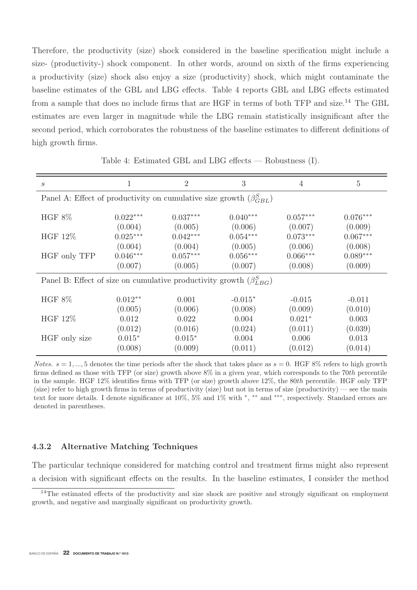Therefore, the productivity (size) shock considered in the baseline specification might include a size- (productivity-) shock component. In other words, around on sixth of the firms experiencing a productivity (size) shock also enjoy a size (productivity) shock, which might contaminate the baseline estimates of the GBL and LBG effects. Table 4 reports GBL and LBG effects estimated from a sample that does no include firms that are HGF in terms of both TFP and size.<sup>14</sup> The GBL estimates are even larger in magnitude while the LBG remain statistically insignificant after the second period, which corroborates the robustness of the baseline estimates to different definitions of high growth firms.

| $\mathcal{S}_{0}^{(n)}$                                                       | 1               | 2          | 3          | 4          | 5          |  |  |  |
|-------------------------------------------------------------------------------|-----------------|------------|------------|------------|------------|--|--|--|
| Panel A: Effect of productivity on cumulative size growth $(\beta_{GBL}^{S})$ |                 |            |            |            |            |  |  |  |
| HGF $8\%$                                                                     | $0.022***$      | $0.037***$ | $0.040***$ | $0.057***$ | $0.076***$ |  |  |  |
|                                                                               | (0.004)         | (0.005)    | (0.006)    | (0.007)    | (0.009)    |  |  |  |
| <b>HGF 12%</b>                                                                | $0.025^{***}\,$ | $0.042***$ | $0.054***$ | $0.073***$ | $0.067***$ |  |  |  |
|                                                                               | (0.004)         | (0.004)    | (0.005)    | (0.006)    | (0.008)    |  |  |  |
| HGF only TFP                                                                  | $0.046***$      | $0.057***$ | $0.056***$ | $0.066***$ | $0.089***$ |  |  |  |
|                                                                               | (0.007)         | (0.005)    | (0.007)    | (0.008)    | (0.009)    |  |  |  |
| Panel B: Effect of size on cumulative productivity growth $(\beta_{LBG}^S)$   |                 |            |            |            |            |  |  |  |
| <b>HGF 8%</b>                                                                 | $0.012**$       | 0.001      | $-0.015*$  | $-0.015$   | $-0.011$   |  |  |  |
|                                                                               | (0.005)         | (0.006)    | (0.008)    | (0.009)    | (0.010)    |  |  |  |
| <b>HGF 12%</b>                                                                | 0.012           | 0.022      | 0.004      | $0.021*$   | 0.003      |  |  |  |
|                                                                               | (0.012)         | (0.016)    | (0.024)    | (0.011)    | (0.039)    |  |  |  |
| HGF only size                                                                 | $0.015*$        | $0.015*$   | 0.004      | 0.006      | 0.013      |  |  |  |
|                                                                               | (0.008)         | (0.009)    | (0.011)    | (0.012)    | (0.014)    |  |  |  |

Table 4: Estimated GBL and LBG effects — Robustness (I).

Notes.  $s = 1, ..., 5$  denotes the time periods after the shock that takes place as  $s = 0$ . HGF 8% refers to high growth firms defined as those with TFP (or size) growth above  $8\%$  in a given year, which corresponds to the 70th percentile in the sample. HGF 12% identifies firms with TFP (or size) growth above 12%, the 80th percentile. HGF only TFP  $(\text{size})$  refer to high growth firms in terms of productivity  $(\text{size})$  but not in terms of size  $(\text{productivity})$  — see the main text for more details. I denote significance at 10%, 5% and 1% with <sup>∗</sup>, ∗∗ and ∗∗∗, respectively. Standard errors are denoted in parentheses.

### **4.3.2 Alternative Matching Techniques**

The particular technique considered for matching control and treatment firms might also represent a decision with significant effects on the results. In the baseline estimates, I consider the method

<sup>&</sup>lt;sup>14</sup>The estimated effects of the productivity and size shock are positive and strongly significant on employment growth, and negative and marginally significant on productivity growth.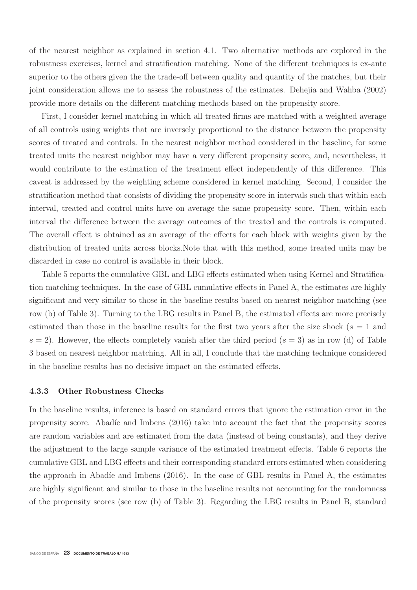of the nearest neighbor as explained in section 4.1. Two alternative methods are explored in the robustness exercises, kernel and stratification matching. None of the different techniques is ex-ante superior to the others given the the trade-off between quality and quantity of the matches, but their joint consideration allows me to assess the robustness of the estimates. Dehejia and Wahba (2002) provide more details on the different matching methods based on the propensity score.

First, I consider kernel matching in which all treated firms are matched with a weighted average of all controls using weights that are inversely proportional to the distance between the propensity scores of treated and controls. In the nearest neighbor method considered in the baseline, for some treated units the nearest neighbor may have a very different propensity score, and, nevertheless, it would contribute to the estimation of the treatment effect independently of this difference. This caveat is addressed by the weighting scheme considered in kernel matching. Second, I consider the stratification method that consists of dividing the propensity score in intervals such that within each interval, treated and control units have on average the same propensity score. Then, within each interval the difference between the average outcomes of the treated and the controls is computed. The overall effect is obtained as an average of the effects for each block with weights given by the distribution of treated units across blocks.Note that with this method, some treated units may be discarded in case no control is available in their block.

Table 5 reports the cumulative GBL and LBG effects estimated when using Kernel and Stratification matching techniques. In the case of GBL cumulative effects in Panel A, the estimates are highly significant and very similar to those in the baseline results based on nearest neighbor matching (see row (b) of Table 3). Turning to the LBG results in Panel B, the estimated effects are more precisely estimated than those in the baseline results for the first two years after the size shock ( $s = 1$  and  $s = 2$ ). However, the effects completely vanish after the third period  $(s = 3)$  as in row (d) of Table 3 based on nearest neighbor matching. All in all, I conclude that the matching technique considered in the baseline results has no decisive impact on the estimated effects.

#### **4.3.3 Other Robustness Checks**

In the baseline results, inference is based on standard errors that ignore the estimation error in the propensity score. Abadíe and Imbens  $(2016)$  take into account the fact that the propensity scores are random variables and are estimated from the data (instead of being constants), and they derive the adjustment to the large sample variance of the estimated treatment effects. Table 6 reports the cumulative GBL and LBG effects and their corresponding standard errors estimated when considering the approach in Abadíe and Imbens  $(2016)$ . In the case of GBL results in Panel A, the estimates are highly significant and similar to those in the baseline results not accounting for the randomness of the propensity scores (see row (b) of Table 3). Regarding the LBG results in Panel B, standard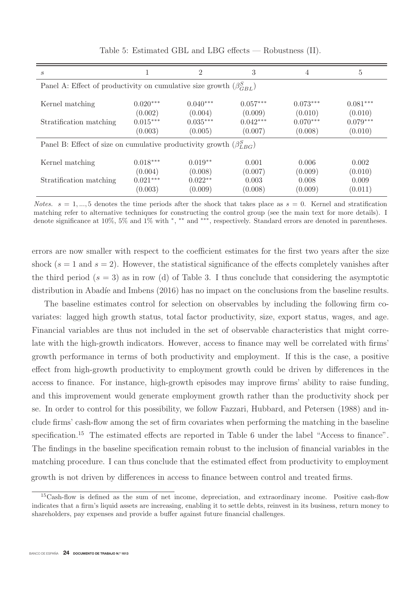| $\mathcal{S}_{0}$                                                             |                                                | 2                                              | 3                                              | 4                                              | 5                                              |  |  |  |
|-------------------------------------------------------------------------------|------------------------------------------------|------------------------------------------------|------------------------------------------------|------------------------------------------------|------------------------------------------------|--|--|--|
| Panel A: Effect of productivity on cumulative size growth $(\beta_{GBL}^{S})$ |                                                |                                                |                                                |                                                |                                                |  |  |  |
| Kernel matching<br>Stratification matching                                    | $0.020***$<br>(0.002)<br>$0.015***$<br>(0.003) | $0.040***$<br>(0.004)<br>$0.035***$<br>(0.005) | $0.057***$<br>(0.009)<br>$0.042***$<br>(0.007) | $0.073***$<br>(0.010)<br>$0.070***$<br>(0.008) | $0.081***$<br>(0.010)<br>$0.079***$<br>(0.010) |  |  |  |
| Panel B: Effect of size on cumulative productivity growth $(\beta_{LBG}^S)$   |                                                |                                                |                                                |                                                |                                                |  |  |  |
| Kernel matching                                                               | $0.018***$<br>(0.004)                          | $0.019**$<br>(0.008)                           | 0.001<br>(0.007)                               | 0.006<br>(0.009)                               | 0.002<br>(0.010)                               |  |  |  |
| Stratification matching                                                       | $0.021***$<br>(0.003)                          | $0.022**$<br>(0.009)                           | 0.003<br>(0.008)                               | 0.008<br>(0.009)                               | 0.009<br>(0.011)                               |  |  |  |

Table 5: Estimated GBL and LBG effects — Robustness (II).

Notes.  $s = 1, ..., 5$  denotes the time periods after the shock that takes place as  $s = 0$ . Kernel and stratification matching refer to alternative techniques for constructing the control group (see the main text for more details). I denote significance at 10%, 5% and 1% with <sup>∗</sup>, ∗∗ and ∗∗∗, respectively. Standard errors are denoted in parentheses.

errors are now smaller with respect to the coefficient estimates for the first two years after the size shock  $(s = 1$  and  $s = 2)$ . However, the statistical significance of the effects completely vanishes after the third period  $(s = 3)$  as in row (d) of Table 3. I thus conclude that considering the asymptotic distribution in Abadíe and Imbens (2016) has no impact on the conclusions from the baseline results.

The baseline estimates control for selection on observables by including the following firm covariates: lagged high growth status, total factor productivity, size, export status, wages, and age. Financial variables are thus not included in the set of observable characteristics that might correlate with the high-growth indicators. However, access to finance may well be correlated with firms' growth performance in terms of both productivity and employment. If this is the case, a positive effect from high-growth productivity to employment growth could be driven by differences in the access to finance. For instance, high-growth episodes may improve firms' ability to raise funding, and this improvement would generate employment growth rather than the productivity shock per se. In order to control for this possibility, we follow Fazzari, Hubbard, and Petersen (1988) and include firms' cash-flow among the set of firm covariates when performing the matching in the baseline specification.<sup>15</sup> The estimated effects are reported in Table 6 under the label "Access to finance". The findings in the baseline specification remain robust to the inclusion of financial variables in the matching procedure. I can thus conclude that the estimated effect from productivity to employment growth is not driven by differences in access to finance between control and treated firms.

<sup>15</sup>Cash-flow is defined as the sum of net income, depreciation, and extraordinary income. Positive cash-flow indicates that a firm's liquid assets are increasing, enabling it to settle debts, reinvest in its business, return money to shareholders, pay expenses and provide a buffer against future financial challenges.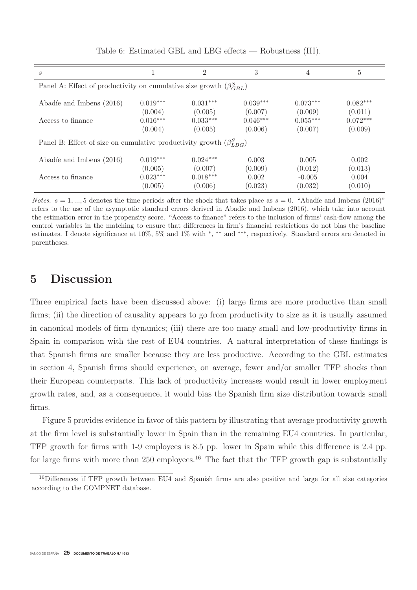| S                                                                             |                                                | 2                                              | 3                                              | 4                                              | 5                                              |  |  |  |
|-------------------------------------------------------------------------------|------------------------------------------------|------------------------------------------------|------------------------------------------------|------------------------------------------------|------------------------------------------------|--|--|--|
| Panel A: Effect of productivity on cumulative size growth $(\beta_{GBL}^{S})$ |                                                |                                                |                                                |                                                |                                                |  |  |  |
| Abadíe and Imbens (2016)<br>Access to finance                                 | $0.019***$<br>(0.004)<br>$0.016***$<br>(0.004) | $0.031***$<br>(0.005)<br>$0.033***$<br>(0.005) | $0.039***$<br>(0.007)<br>$0.046***$<br>(0.006) | $0.073***$<br>(0.009)<br>$0.055***$<br>(0.007) | $0.082***$<br>(0.011)<br>$0.072***$<br>(0.009) |  |  |  |
| Panel B: Effect of size on cumulative productivity growth $(\beta_{LBG}^S)$   |                                                |                                                |                                                |                                                |                                                |  |  |  |
| Abadíe and Imbens (2016)                                                      | $0.019***$<br>(0.005)                          | $0.024***$<br>(0.007)                          | 0.003<br>(0.009)                               | 0.005<br>(0.012)                               | 0.002<br>(0.013)                               |  |  |  |
| Access to finance                                                             | $0.023***$<br>(0.005)                          | $0.018***$<br>(0.006)                          | 0.002<br>(0.023)                               | $-0.005$<br>(0.032)                            | 0.004<br>(0.010)                               |  |  |  |

Table 6: Estimated GBL and LBG effects — Robustness (III).

*Notes.*  $s = 1, ..., 5$  denotes the time periods after the shock that takes place as  $s = 0$ . "Abadíe and Imbens (2016)" refers to the use of the asymptotic standard errors derived in Abadíe and Imbens (2016), which take into account the estimation error in the propensity score. "Access to finance" refers to the inclusion of firms' cash-flow among the control variables in the matching to ensure that differences in firm's financial restrictions do not bias the baseline estimates. I denote significance at 10%, 5% and 1% with <sup>∗</sup>, ∗∗ and ∗∗∗, respectively. Standard errors are denoted in parentheses.

## **5 Discussion**

Three empirical facts have been discussed above: (i) large firms are more productive than small firms; (ii) the direction of causality appears to go from productivity to size as it is usually assumed in canonical models of firm dynamics; (iii) there are too many small and low-productivity firms in Spain in comparison with the rest of EU4 countries. A natural interpretation of these findings is that Spanish firms are smaller because they are less productive. According to the GBL estimates in section 4, Spanish firms should experience, on average, fewer and/or smaller TFP shocks than their European counterparts. This lack of productivity increases would result in lower employment growth rates, and, as a consequence, it would bias the Spanish firm size distribution towards small firms.

Figure 5 provides evidence in favor of this pattern by illustrating that average productivity growth at the firm level is substantially lower in Spain than in the remaining EU4 countries. In particular, TFP growth for firms with 1-9 employees is 8.5 pp. lower in Spain while this difference is 2.4 pp. for large firms with more than 250 employees.<sup>16</sup> The fact that the TFP growth gap is substantially

<sup>&</sup>lt;sup>16</sup>Differences if TFP growth between EU4 and Spanish firms are also positive and large for all size categories according to the COMPNET database.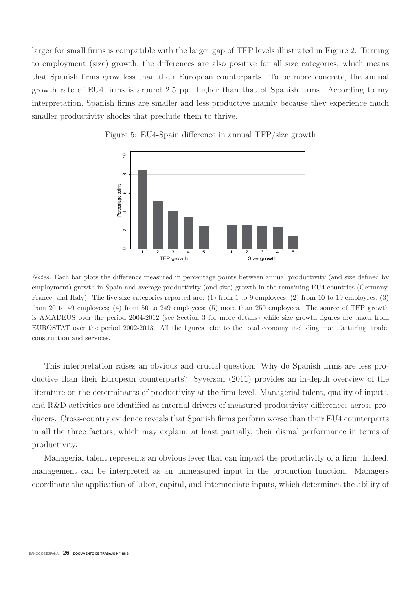larger for small firms is compatible with the larger gap of TFP levels illustrated in Figure 2. Turning to employment (size) growth, the differences are also positive for all size categories, which means that Spanish firms grow less than their European counterparts. To be more concrete, the annual growth rate of EU4 firms is around 2.5 pp. higher than that of Spanish firms. According to my interpretation, Spanish firms are smaller and less productive mainly because they experience much smaller productivity shocks that preclude them to thrive.



Figure 5: EU4-Spain difference in annual TFP/size growth

Notes. Each bar plots the difference measured in percentage points between annual productivity (and size defined by employment) growth in Spain and average productivity (and size) growth in the remaining EU4 countries (Germany, France, and Italy). The five size categories reported are: (1) from 1 to 9 employees; (2) from 10 to 19 employees; (3) from 20 to 49 employees; (4) from 50 to 249 employees; (5) more than 250 employees. The source of TFP growth is AMADEUS over the period 2004-2012 (see Section 3 for more details) while size growth figures are taken from EUROSTAT over the period 2002-2013. All the figures refer to the total economy including manufacturing, trade, construction and services.

This interpretation raises an obvious and crucial question. Why do Spanish firms are less productive than their European counterparts? Syverson (2011) provides an in-depth overview of the literature on the determinants of productivity at the firm level. Managerial talent, quality of inputs, and R&D activities are identified as internal drivers of measured productivity differences across producers. Cross-country evidence reveals that Spanish firms perform worse than their EU4 counterparts in all the three factors, which may explain, at least partially, their dismal performance in terms of productivity.

Managerial talent represents an obvious lever that can impact the productivity of a firm. Indeed, management can be interpreted as an unmeasured input in the production function. Managers coordinate the application of labor, capital, and intermediate inputs, which determines the ability of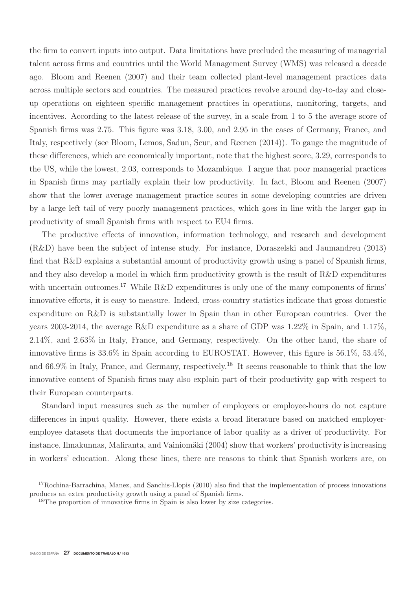the firm to convert inputs into output. Data limitations have precluded the measuring of managerial talent across firms and countries until the World Management Survey (WMS) was released a decade ago. Bloom and Reenen (2007) and their team collected plant-level management practices data across multiple sectors and countries. The measured practices revolve around day-to-day and closeup operations on eighteen specific management practices in operations, monitoring, targets, and incentives. According to the latest release of the survey, in a scale from 1 to 5 the average score of Spanish firms was 2.75. This figure was 3.18, 3.00, and 2.95 in the cases of Germany, France, and Italy, respectively (see Bloom, Lemos, Sadun, Scur, and Reenen (2014)). To gauge the magnitude of these differences, which are economically important, note that the highest score, 3.29, corresponds to the US, while the lowest, 2.03, corresponds to Mozambique. I argue that poor managerial practices in Spanish firms may partially explain their low productivity. In fact, Bloom and Reenen (2007) show that the lower average management practice scores in some developing countries are driven by a large left tail of very poorly management practices, which goes in line with the larger gap in productivity of small Spanish firms with respect to EU4 firms.

The productive effects of innovation, information technology, and research and development (R&D) have been the subject of intense study. For instance, Doraszelski and Jaumandreu (2013) find that R&D explains a substantial amount of productivity growth using a panel of Spanish firms, and they also develop a model in which firm productivity growth is the result of R&D expenditures with uncertain outcomes.<sup>17</sup> While R&D expenditures is only one of the many components of firms' innovative efforts, it is easy to measure. Indeed, cross-country statistics indicate that gross domestic expenditure on R&D is substantially lower in Spain than in other European countries. Over the years 2003-2014, the average R&D expenditure as a share of GDP was 1.22% in Spain, and 1.17%, 2.14%, and 2.63% in Italy, France, and Germany, respectively. On the other hand, the share of innovative firms is 33.6% in Spain according to EUROSTAT. However, this figure is 56.1%, 53.4%, and 66.9% in Italy, France, and Germany, respectively.<sup>18</sup> It seems reasonable to think that the low innovative content of Spanish firms may also explain part of their productivity gap with respect to their European counterparts.

Standard input measures such as the number of employees or employee-hours do not capture differences in input quality. However, there exists a broad literature based on matched employeremployee datasets that documents the importance of labor quality as a driver of productivity. For instance, Ilmakunnas, Maliranta, and Vainiomäki (2004) show that workers' productivity is increasing in workers' education. Along these lines, there are reasons to think that Spanish workers are, on

 $17$ Rochina-Barrachina, Manez, and Sanchis-Llopis (2010) also find that the implementation of process innovations produces an extra productivity growth using a panel of Spanish firms.

<sup>18</sup>The proportion of innovative firms in Spain is also lower by size categories.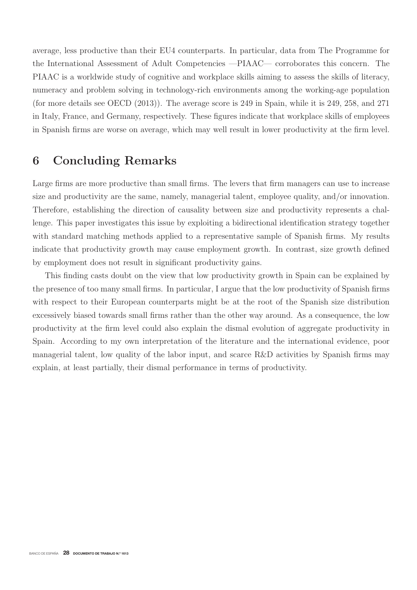average, less productive than their EU4 counterparts. In particular, data from The Programme for the International Assessment of Adult Competencies —PIAAC— corroborates this concern. The PIAAC is a worldwide study of cognitive and workplace skills aiming to assess the skills of literacy, numeracy and problem solving in technology-rich environments among the working-age population (for more details see OECD (2013)). The average score is 249 in Spain, while it is 249, 258, and 271 in Italy, France, and Germany, respectively. These figures indicate that workplace skills of employees in Spanish firms are worse on average, which may well result in lower productivity at the firm level.

# **6 Concluding Remarks**

Large firms are more productive than small firms. The levers that firm managers can use to increase size and productivity are the same, namely, managerial talent, employee quality, and/or innovation. Therefore, establishing the direction of causality between size and productivity represents a challenge. This paper investigates this issue by exploiting a bidirectional identification strategy together with standard matching methods applied to a representative sample of Spanish firms. My results indicate that productivity growth may cause employment growth. In contrast, size growth defined by employment does not result in significant productivity gains.

This finding casts doubt on the view that low productivity growth in Spain can be explained by the presence of too many small firms. In particular, I argue that the low productivity of Spanish firms with respect to their European counterparts might be at the root of the Spanish size distribution excessively biased towards small firms rather than the other way around. As a consequence, the low productivity at the firm level could also explain the dismal evolution of aggregate productivity in Spain. According to my own interpretation of the literature and the international evidence, poor managerial talent, low quality of the labor input, and scarce R&D activities by Spanish firms may explain, at least partially, their dismal performance in terms of productivity.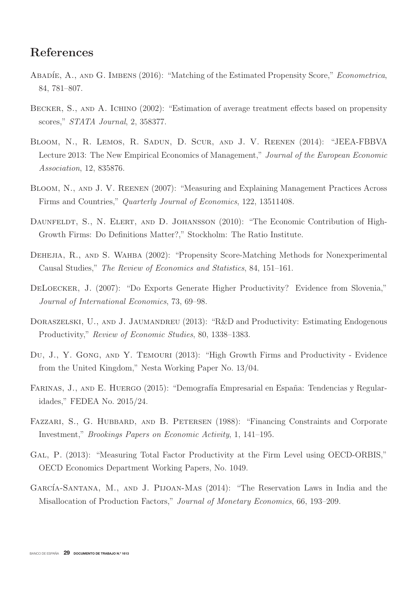# **References**

- ABADÍE, A., AND G. IMBENS (2016): "Matching of the Estimated Propensity Score," Econometrica, 84, 781–807.
- BECKER, S., AND A. ICHINO (2002): "Estimation of average treatment effects based on propensity scores," STATA Journal, 2, 358377.
- Bloom, N., R. Lemos, R. Sadun, D. Scur, and J. V. Reenen (2014): "JEEA-FBBVA Lecture 2013: The New Empirical Economics of Management," Journal of the European Economic Association, 12, 835876.
- Bloom, N., and J. V. Reenen (2007): "Measuring and Explaining Management Practices Across Firms and Countries," Quarterly Journal of Economics, 122, 13511408.
- DAUNFELDT, S., N. ELERT, AND D. JOHANSSON (2010): "The Economic Contribution of High-Growth Firms: Do Definitions Matter?," Stockholm: The Ratio Institute.
- DEHEJIA, R., AND S. WAHBA (2002): "Propensity Score-Matching Methods for Nonexperimental Causal Studies," The Review of Economics and Statistics, 84, 151–161.
- DELOECKER, J. (2007): "Do Exports Generate Higher Productivity? Evidence from Slovenia," Journal of International Economics, 73, 69–98.
- DORASZELSKI, U., AND J. JAUMANDREU (2013): "R&D and Productivity: Estimating Endogenous Productivity," Review of Economic Studies, 80, 1338–1383.
- Du, J., Y. Gong, and Y. Temouri (2013): "High Growth Firms and Productivity Evidence from the United Kingdom," Nesta Working Paper No. 13/04.
- FARINAS, J., AND E. HUERGO (2015): "Demografía Empresarial en España: Tendencias y Regularidades," FEDEA No. 2015/24.
- FAZZARI, S., G. HUBBARD, AND B. PETERSEN (1988): "Financing Constraints and Corporate Investment," Brookings Papers on Economic Activity, 1, 141–195.
- GAL, P. (2013): "Measuring Total Factor Productivity at the Firm Level using OECD-ORBIS," OECD Economics Department Working Papers, No. 1049.
- GARCÍA-SANTANA, M., AND J. PIJOAN-MAS (2014): "The Reservation Laws in India and the Misallocation of Production Factors," Journal of Monetary Economics, 66, 193–209.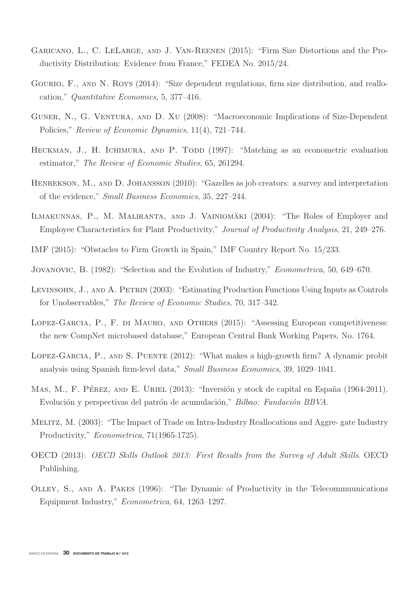- Garicano, L., C. LeLarge, and J. Van-Reenen (2015): "Firm Size Distortions and the Productivity Distribution: Evidence from France," FEDEA No. 2015/24.
- GOURIO, F., AND N. ROYS (2014): "Size dependent regulations, firm size distribution, and reallocation," Quantitative Economics, 5, 377–416.
- GUNER, N., G. VENTURA, AND D. XU (2008): "Macroeconomic Implications of Size-Dependent Policies," Review of Economic Dynamics, 11(4), 721–744.
- HECKMAN, J., H. ICHIMURA, AND P. TODD (1997): "Matching as an econometric evaluation estimator," The Review of Economic Studies, 65, 261294.
- HENREKSON, M., AND D. JOHANSSON (2010): "Gazelles as job creators: a survey and interpretation of the evidence," Small Business Economics, 35, 227–244.
- ILMAKUNNAS, P., M. MALIRANTA, AND J. VAINIOMÄKI (2004): "The Roles of Employer and Employee Characteristics for Plant Productivity," Journal of Productivity Analysis, 21, 249–276.
- IMF (2015): "Obstacles to Firm Growth in Spain," IMF Country Report No. 15/233.
- Jovanovic, B. (1982): "Selection and the Evolution of Industry," Econometrica, 50, 649–670.
- LEVINSOHN, J., AND A. PETRIN (2003): "Estimating Production Functions Using Inputs as Controls for Unobservables," The Review of Economic Studies, 70, 317–342.
- Lopez-Garcia, P., F. di Mauro, and Others (2015): "Assessing European competitiveness: the new CompNet microbased database," European Central Bank Working Papers, No. 1764.
- Lopez-Garcia, P., and S. Puente (2012): "What makes a high-growth firm? A dynamic probit analysis using Spanish firm-level data," Small Business Economics, 39, 1029–1041.
- MAS, M., F. PÉREZ, AND E. URIEL (2013): "Inversión y stock de capital en España (1964-2011). Evolución y perspectivas del patrón de acumulación," Bilbao: Fundación BBVA.
- Melitz, M. (2003): "The Impact of Trade on Intra-Industry Reallocations and Aggre- gate Industry Productivity," *Econometrica*, 71(1965-1725).
- OECD (2013): OECD Skills Outlook 2013: First Results from the Survey of Adult Skills. OECD Publishing.
- Olley, S., and A. Pakes (1996): "The Dynamic of Productivity in the Telecommuunications Equipment Industry," Econometrica, 64, 1263–1297.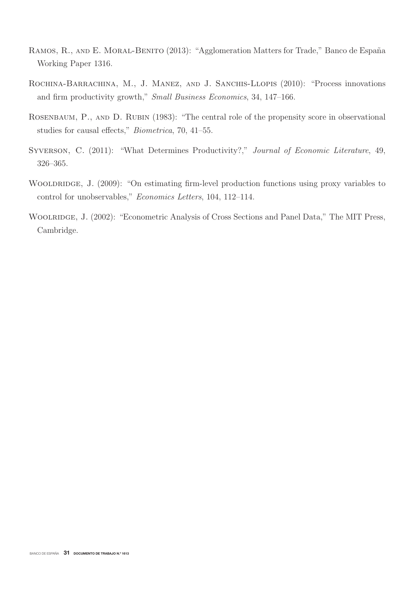- RAMOS, R., AND E. MORAL-BENITO (2013): "Agglomeration Matters for Trade," Banco de España Working Paper 1316.
- ROCHINA-BARRACHINA, M., J. MANEZ, AND J. SANCHIS-LLOPIS (2010): "Process innovations and firm productivity growth," Small Business Economics, 34, 147–166.
- ROSENBAUM, P., AND D. RUBIN (1983): "The central role of the propensity score in observational studies for causal effects," Biometrica, 70, 41–55.
- SYVERSON, C. (2011): "What Determines Productivity?," Journal of Economic Literature, 49, 326–365.
- WOOLDRIDGE, J. (2009): "On estimating firm-level production functions using proxy variables to control for unobservables," Economics Letters, 104, 112–114.
- WOOLRIDGE, J. (2002): "Econometric Analysis of Cross Sections and Panel Data," The MIT Press, Cambridge.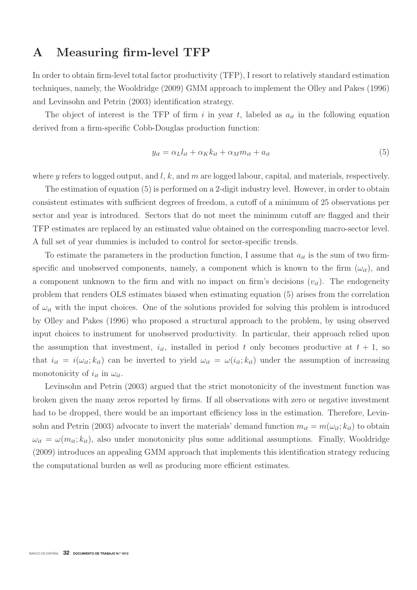# **A Measuring firm-level TFP**

In order to obtain firm-level total factor productivity (TFP), I resort to relatively standard estimation techniques, namely, the Wooldridge (2009) GMM approach to implement the Olley and Pakes (1996) and Levinsohn and Petrin (2003) identification strategy.

The object of interest is the TFP of firm i in year t, labeled as  $a_{it}$  in the following equation derived from a firm-specific Cobb-Douglas production function:

$$
y_{it} = \alpha_L l_{it} + \alpha_K k_{it} + \alpha_M m_{it} + a_{it}
$$
\n<sup>(5)</sup>

where y refers to logged output, and  $l, k$ , and m are logged labour, capital, and materials, respectively.

The estimation of equation (5) is performed on a 2-digit industry level. However, in order to obtain consistent estimates with sufficient degrees of freedom, a cutoff of a minimum of 25 observations per sector and year is introduced. Sectors that do not meet the minimum cutoff are flagged and their TFP estimates are replaced by an estimated value obtained on the corresponding macro-sector level. A full set of year dummies is included to control for sector-specific trends.

To estimate the parameters in the production function, I assume that  $a_{it}$  is the sum of two firmspecific and unobserved components, namely, a component which is known to the firm  $(\omega_{it})$ , and a component unknown to the firm and with no impact on firm's decisions  $(v_{it})$ . The endogeneity problem that renders OLS estimates biased when estimating equation (5) arises from the correlation of  $\omega_{it}$  with the input choices. One of the solutions provided for solving this problem is introduced by Olley and Pakes (1996) who proposed a structural approach to the problem, by using observed input choices to instrument for unobserved productivity. In particular, their approach relied upon the assumption that investment,  $i_{it}$ , installed in period t only becomes productive at  $t + 1$ , so that  $i_{it} = i(\omega_{it}; k_{it})$  can be inverted to yield  $\omega_{it} = \omega(i_{it}; k_{it})$  under the assumption of increasing monotonicity of  $i_{it}$  in  $\omega_{it}$ .

Levinsohn and Petrin (2003) argued that the strict monotonicity of the investment function was broken given the many zeros reported by firms. If all observations with zero or negative investment had to be dropped, there would be an important efficiency loss in the estimation. Therefore, Levinsohn and Petrin (2003) advocate to invert the materials' demand function  $m_{it} = m(\omega_{it}; k_{it})$  to obtain  $\omega_{it} = \omega(m_{it}; k_{it})$ , also under monotonicity plus some additional assumptions. Finally, Wooldridge (2009) introduces an appealing GMM approach that implements this identification strategy reducing the computational burden as well as producing more efficient estimates.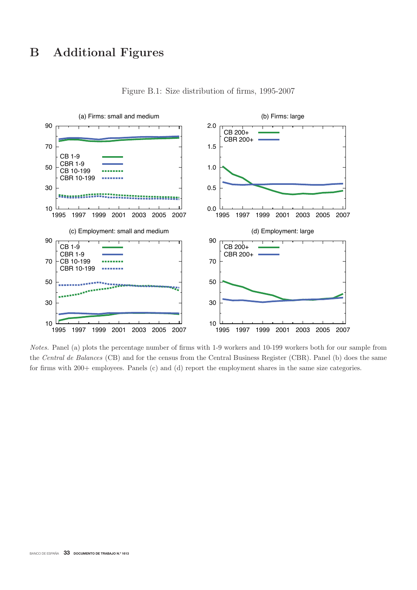

Figure B.1: Size distribution of firms, 1995-2007

Notes. Panel (a) plots the percentage number of firms with 1-9 workers and 10-199 workers both for our sample from the Central de Balances (CB) and for the census from the Central Business Register (CBR). Panel (b) does the same for firms with 200+ employees. Panels (c) and (d) report the employment shares in the same size categories.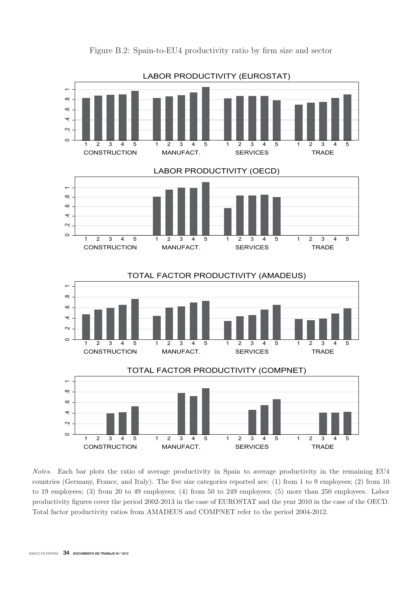

Figure B.2: Spain-to-EU4 productivity ratio by firm size and sector

Notes. Each bar plots the ratio of average productivity in Spain to average productivity in the remaining EU4 countries (Germany, France, and Italy). The five size categories reported are: (1) from 1 to 9 employees; (2) from 10 to 19 employees; (3) from 20 to 49 employees; (4) from 50 to 249 employees; (5) more than 250 employees. Labor productivity figures cover the period 2002-2013 in the case of EUROSTAT and the year 2010 in the case of the OECD. Total factor productivity ratios from AMADEUS and COMPNET refer to the period 2004-2012.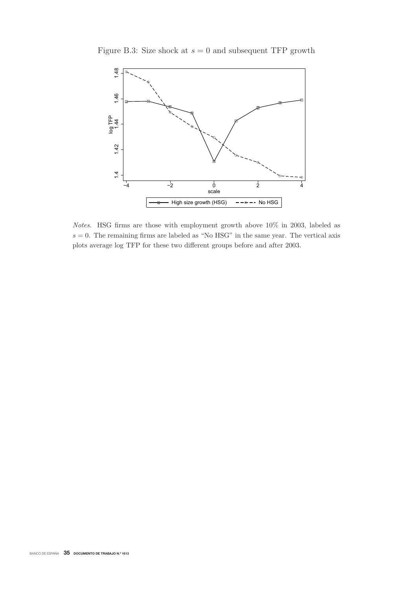

Figure B.3: Size shock at  $s = 0$  and subsequent TFP growth

Notes. HSG firms are those with employment growth above 10% in 2003, labeled as  $s = 0$ . The remaining firms are labeled as "No HSG" in the same year. The vertical axis plots average log TFP for these two different groups before and after 2003.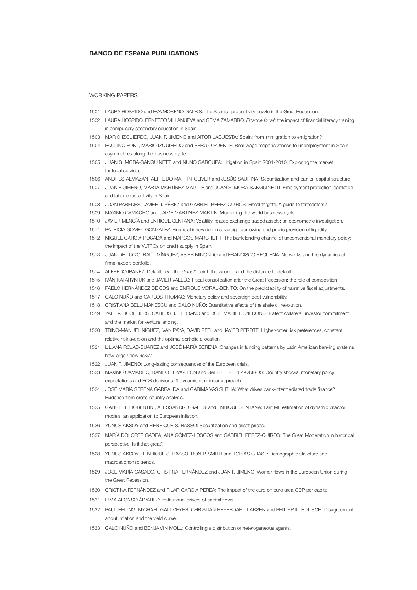#### BANCO DE ESPAÑA PUBLICATIONS

#### WORKING PAPERS

- 1501 LAURA HOSPIDO and EVA MORENO-GALBIS: The Spanish productivity puzzle in the Great Recession.
- 1502 LAURA HOSPIDO, ERNESTO VILLANUEVA and GEMA ZAMARRO: *Finance for all:* the impact of fi nancial literacy training in compulsory secondary education in Spain.
- 1503 MARIO IZQUIERDO, JUAN F. JIMENO and AITOR LACUESTA: Spain: from immigration to emigration?
- 1504 PAULINO FONT, MARIO IZQUIERDO and SERGIO PUENTE: Real wage responsiveness to unemployment in Spain: asymmetries along the business cycle.
- 1505 JUAN S. MORA-SANGUINETTI and NUNO GAROUPA: Litigation in Spain 2001-2010: Exploring the market for legal services.
- 1506 ANDRES ALMAZAN, ALFREDO MARTÍN-OLIVER and JESÚS SAURINA: Securitization and banks' capital structure.
- 1507 JUAN F. JIMENO, MARTA MARTÍNEZ-MATUTE and JUAN S. MORA-SANGUINETTI: Employment protection legislation and labor court activity in Spain.
- 1508 JOAN PAREDES, JAVIER J. PÉREZ and GABRIEL PEREZ-QUIRÓS: Fiscal targets. A guide to forecasters?
- 1509 MAXIMO CAMACHO and JAIME MARTINEZ-MARTIN: Monitoring the world business cycle.
- 1510 JAVIER MENCÍA and ENRIQUE SENTANA: Volatility-related exchange traded assets: an econometric investigation.
- 1511 PATRICIA GÓMEZ-GONZÁLEZ: Financial innovation in sovereign borrowing and public provision of liquidity.
- 1512 MIGUEL GARCÍA-POSADA and MARCOS MARCHETTI: The bank lending channel of unconventional monetary policy: the impact of the VLTROs on credit supply in Spain.
- 1513 JUAN DE LUCIO, RAÚL MÍNGUEZ, ASIER MINONDO and FRANCISCO REQUENA: Networks and the dynamics of firms' export portfolio.
- 1514 ALFREDO IBÁÑEZ: Default near-the-*default*-point: the value of and the distance to default.
- 1515 IVÁN KATARYNIUK and JAVIER VALLÉS: Fiscal consolidation after the Great Recession: the role of composition.
- 1516 PABLO HERNÁNDEZ DE COS and ENRIQUE MORAL-BENITO: On the predictability of narrative fiscal adjustments.
- 1517 GALO NUÑO and CARLOS THOMAS: Monetary policy and sovereign debt vulnerability.
- 1518 CRISTIANA BELU MANESCU and GALO NUÑO: Quantitative effects of the shale oil revolution.
- 1519 YAEL V. HOCHBERG, CARLOS J. SERRANO and ROSEMARIE H. ZIEDONIS: Patent collateral, investor commitment and the market for venture lending.
- 1520 TRINO-MANUEL ÑÍGUEZ, IVAN PAYA, DAVID PEEL and JAVIER PEROTE: Higher-order risk preferences, constant relative risk aversion and the optimal portfolio allocation.
- 1521 LILIANA ROJAS-SUÁREZ and JOSÉ MARÍA SERENA: Changes in funding patterns by Latin American banking systems: how large? how risky?
- 1522 JUAN F. JIMENO: Long-lasting consequences of the European crisis.
- 1523 MAXIMO CAMACHO, DANILO LEIVA-LEON and GABRIEL PEREZ-QUIROS: Country shocks, monetary policy expectations and ECB decisions. A dynamic non-linear approach.
- 1524 JOSÉ MARÍA SERENA GARRALDA and GARIMA VASISHTHA: What drives bank-intermediated trade finance? Evidence from cross-country analysis.
- 1525 GABRIELE FIORENTINI, ALESSANDRO GALESI and ENRIQUE SENTANA: Fast ML estimation of dynamic bifactor models: an application to European inflation.
- 1526 YUNUS AKSOY and HENRIQUE S. BASSO: Securitization and asset prices.
- 1527 MARÍA DOLORES GADEA, ANA GÓMEZ-LOSCOS and GABRIEL PEREZ-QUIROS: The Great Moderation in historical perspective. Is it that great?
- 1528 YUNUS AKSOY, HENRIQUE S. BASSO, RON P. SMITH and TOBIAS GRASL: Demographic structure and macroeconomic trends.
- 1529 JOSÉ MARÍA CASADO, CRISTINA FERNÁNDEZ and JUAN F. JIMENO: Worker flows in the European Union during the Great Recession.
- 1530 CRISTINA FERNÁNDEZ and PILAR GARCÍA PEREA: The impact of the euro on euro area GDP per capita.
- 1531 IRMA ALONSO ÁLVAREZ: Institutional drivers of capital flows.
- 1532 PAUL EHLING, MICHAEL GALLMEYER, CHRISTIAN HEYERDAHL-LARSEN and PHILIPP ILLEDITSCH: Disagreement about inflation and the vield curve.
- 1533 GALO NUÑO and BENJAMIN MOLL: Controlling a distribution of heterogeneous agents.